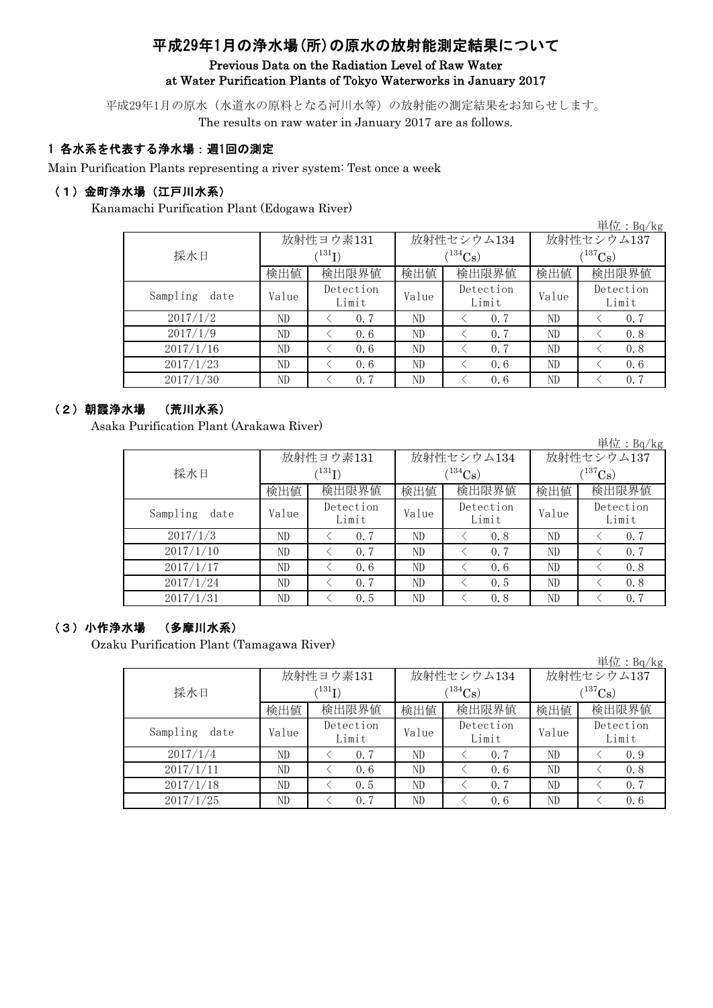# 平成29年1月の浄水場(所)の原水の放射能測定結果について

# Previous Data on the Radiation Level of Raw Water at Water Purification Plants of Tokyo Waterworks in January 2017

平成29年1月の原水(水道水の原料となる河川水等)の放射能の測定結果をお知らせします。 The results on raw water in January 2017 are as follows.

# 1 各水系を代表する浄水場:週1回の測定

Main Purification Plants representing a river system: Test once a week

# (1)金町浄水場(江戸川水系)

Kanamachi Purification Plant (Edogawa River)

|                  |                            |                    |       |                    |                       | 単位: Bq/kg          |  |
|------------------|----------------------------|--------------------|-------|--------------------|-----------------------|--------------------|--|
|                  |                            | 放射性ヨウ素131          |       | 放射性セシウム134         | 放射性セシウム137            |                    |  |
| 採水日              | $^{\prime131} \mathrm{I})$ |                    |       | $(134)$ Cs         | $(^{137}\mathrm{Cs})$ |                    |  |
|                  | 検出値                        | 検出限界値              | 検出値   | 検出限界値              | 検出値                   | 検出限界値              |  |
| Sampling<br>date | Value                      | Detection<br>Limit | Value | Detection<br>Limit | Value                 | Detection<br>Limit |  |
| 2017/1/2         | ND                         | 0.7                | ND    | 0.7                | ND                    | 0, 7               |  |
| 2017/1/9         | ND                         | 0.6                | ND    | 0.7                | ND                    | 0.8                |  |
| 2017/1/16        | ND                         | 0.6                | ND    | 0.7                | ND                    | 0.8                |  |
| 2017/1/23        | ND                         | 0.6                | ND    | 0.6                | ND                    | 0.6                |  |
| 2017/1/30        | ND                         | 0.7                | ND    | 0.6                | ND                    | 0.7                |  |

# (2)朝霞浄水場 (荒川水系)

Asaka Purification Plant (Arakawa River)

|                  |       |                    |       |                    |              | 単位: Bq/kg          |  |  |
|------------------|-------|--------------------|-------|--------------------|--------------|--------------------|--|--|
|                  |       | 放射性ヨウ素131          |       | 放射性セシウム134         | 放射性セシウム137   |                    |  |  |
| 採水日              |       | (131)              |       | $(134)$ Cs         | $(^{137}Cs)$ |                    |  |  |
|                  | 検出値   | 検出限界値              | 検出値   | 検出限界値              | 検出値          | 検出限界値              |  |  |
| Sampling<br>date | Value | Detection<br>Limit | Value | Detection<br>Limit | Value        | Detection<br>Limit |  |  |
| 2017/1/3         | ND    | 0.7                | ND    | 0.8                | ND           | 0.7                |  |  |
| 2017/1/10        | ND    | 0.7                | ND    | 0.7                | ND           | 0.7                |  |  |
| 2017/1/17        | ND    | 0.6                | ND    | 0.6                | ND           | 0.8                |  |  |
| 2017/1/24        | ND    | 0.7                | ND    | 0.5                | ND           | 0.8                |  |  |
| 2017/1/31        | ND    | 0.5                | ND    | 0.8                | ND           | 0.7                |  |  |

# (3)小作浄水場 (多摩川水系)

Ozaku Purification Plant (Tamagawa River)

|                  |       |                            |       |                    |              | 単位:Bq/kg           |  |  |
|------------------|-------|----------------------------|-------|--------------------|--------------|--------------------|--|--|
|                  |       | 放射性ヨウ素131                  |       | 放射性セシウム134         | 放射性セシウム137   |                    |  |  |
| 採水日              |       | $^{\prime131} \mathrm{I})$ |       | $134C_{\rm S}$ )   | $(^{137}Cs)$ |                    |  |  |
|                  | 検出値   | 検出限界値                      | 検出値   | 検出限界値              | 検出値          | 検出限界値              |  |  |
| Sampling<br>date | Value | Detection<br>Limit         | Value | Detection<br>Limit | Value        | Detection<br>Limit |  |  |
| 2017/1/4         | ND    | 0.7                        | ND    | 0.7                | ND           | 0.9                |  |  |
| 2017/1/11        | ND    | 0.6                        | ND    | 0, 6               | ND           | 0.8                |  |  |
| 2017/1/18        | ND    | 0.5                        | ND    | 0.7                | ND           | 0.7                |  |  |
| 2017/1/25        | ND    | 0.7                        | ND    | 0.6                | ND           | 0.6                |  |  |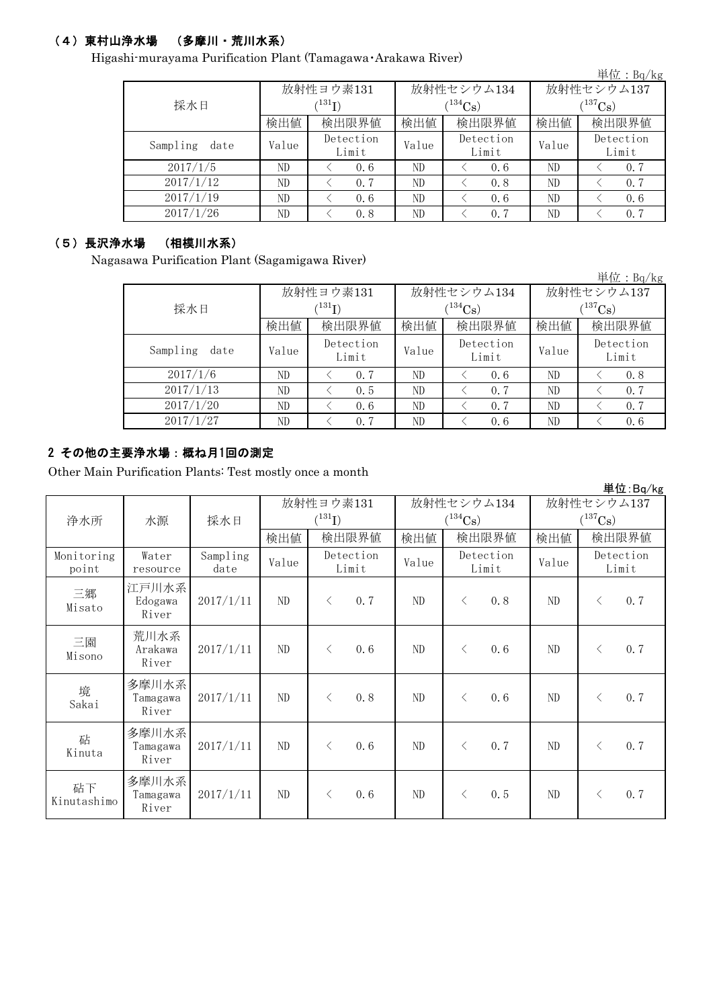# (4)東村山浄水場 (多摩川・荒川水系)

Higashi-murayama Purification Plant (Tamagawa・Arakawa River)

|                  |       |                    |       |                    |                       | 単位: $Bq/kg$        |  |
|------------------|-------|--------------------|-------|--------------------|-----------------------|--------------------|--|
|                  |       | 放射性ヨウ素131          |       | 放射性セシウム134         | 放射性セシウム137            |                    |  |
| 採水日              |       | $^{131}$ I)        |       | $(134)$ Cs         | $(^{137}\mathrm{Cs})$ |                    |  |
|                  | 検出値   | 検出限界値              | 検出値   | 検出限界値              | 検出値                   | 検出限界値              |  |
| Sampling<br>date | Value | Detection<br>Limit | Value | Detection<br>Limit | Value                 | Detection<br>Limit |  |
| 2017/1/5         | ND    | 0.6                | ND    | 0, 6               | ND                    | 0.7                |  |
| 2017/1/12        | ND    | 0.7                | ND    | 0.8                | ND                    | 0.7                |  |
| 2017/1/19        | ND    | 0.6                | ND    | 0, 6               | ND                    | 0.6                |  |
| 2017/1/26        | ND    | 0.8                | ND    | 0.7                | ND                    | 0.7                |  |

### (5)長沢浄水場 (相模川水系)

Nagasawa Purification Plant (Sagamigawa River)

単位:Bq/kg 検出値 | 検出値 | 検出限界値 | 検出値  $V$ alue  $V$ <sup>Detection</sup> Value  $V$ ND < 0.7 ND < 0.6 ND < 0.8 ND  $\vert$   $\langle$  0.5  $\vert$  ND  $\vert$   $\langle$  0.7  $\vert$  ND  $\vert$   $\langle$  0.7 ND  $\vert$  < 0.6 | ND  $\vert$  < 0.7 | ND | < 0.7 ND < 0.7 ND < 0.6 ND < 0.6 採水日 検出限界値 放射性ヨウ素131  $(^{131}\text{I})$ 検出限界値 2017/1/13 放射性セシウム137  $(^{137}\text{Cs})$ 放射性セシウム134  $(^{134}\text{Cs})$ 2017/1/6 Detection Limit Detection Limit 2017/1/27 Sampling date 2017/1/20 Detection Limit

# 2 その他の主要浄水場:概ね月1回の測定

Other Main Purification Plants: Test mostly once a month

|                     |                            |                  |          |             |                    |            |                       |                    |                       |           | 単位:Bq/kg           |
|---------------------|----------------------------|------------------|----------|-------------|--------------------|------------|-----------------------|--------------------|-----------------------|-----------|--------------------|
|                     |                            |                  |          | 放射性ヨウ素131   |                    | 放射性セシウム134 |                       |                    | 放射性セシウム137            |           |                    |
| 浄水所                 | 水源                         | 採水日              |          | $(^{131}I)$ |                    |            | $(^{134}\mathrm{Cs})$ |                    | $(^{137}\mathrm{Cs})$ |           |                    |
|                     |                            |                  | 検出値      |             | 検出限界値              | 検出値        | 検出限界値                 |                    | 検出値                   |           | 検出限界値              |
| Monitoring<br>point | Water<br>resource          | Sampling<br>date | Value    |             | Detection<br>Limit | Value      |                       | Detection<br>Limit | Value                 |           | Detection<br>Limit |
| 三郷<br>Misato        | 江戸川水系<br>Edogawa<br>River  | 2017/1/11        | $\rm ND$ | $\lt$       | 0.7                | ND         | $\langle$             | 0.8                | $\rm ND$              | $\langle$ | 0.7                |
| 三園<br>Misono        | 荒川水系<br>Arakawa<br>River   | 2017/1/11        | ND       | $\langle$   | 0.6                | ND         | $\lt$                 | 0.6                | ND                    | $\lt$     | 0.7                |
| 境<br>Sakai          | 多摩川水系<br>Tamagawa<br>River | 2017/1/11        | ND       | $\langle$   | 0.8                | ND         | $\langle$             | 0.6                | ND                    | $\langle$ | 0.7                |
| 砧<br>Kinuta         | 多摩川水系<br>Tamagawa<br>River | 2017/1/11        | $\rm ND$ | $\lt$       | 0.6                | ND         | $\langle$             | 0.7                | $\rm ND$              | $\langle$ | 0.7                |
| 砧下<br>Kinutashimo   | 多摩川水系<br>Tamagawa<br>River | 2017/1/11        | ND       | $\langle$   | 0.6                | ND         | $\lt$                 | 0.5                | ND.                   | $\lt$     | 0.7                |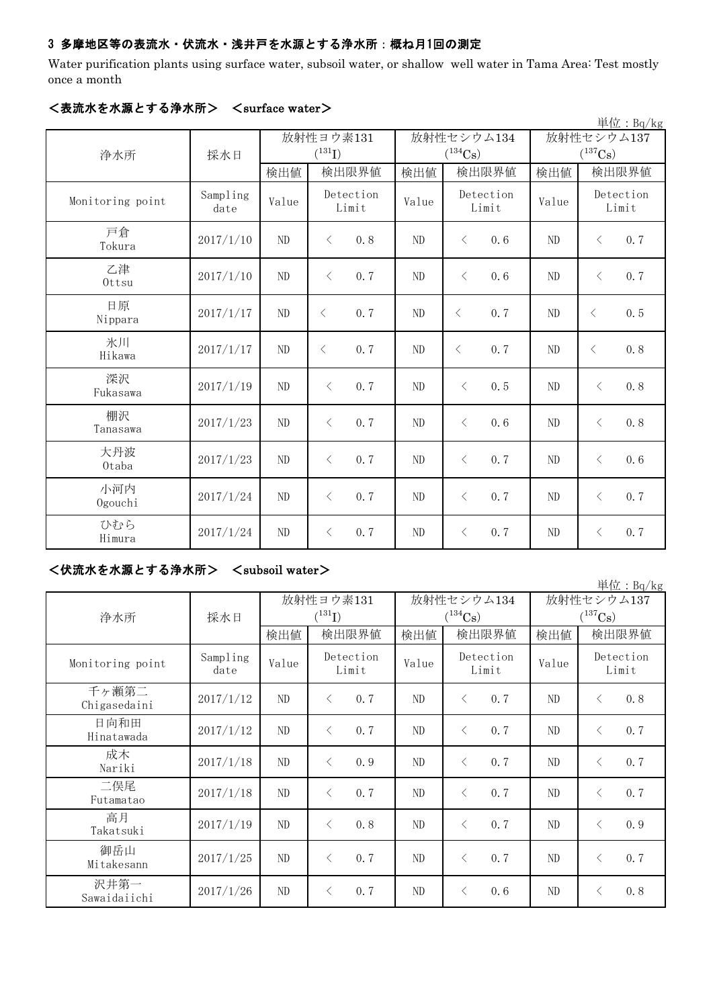# 3 多摩地区等の表流水・伏流水・浅井戸を水源とする浄水所:概ね月1回の測定

Water purification plants using surface water, subsoil water, or shallow well water in Tama Area: Test mostly once a month

|                  |                  |          |                    |       |                       |                       | $\frac{\cancel{\text{H}}}{\cancel{\text{L}}}$ : Bq/kg |  |
|------------------|------------------|----------|--------------------|-------|-----------------------|-----------------------|-------------------------------------------------------|--|
|                  |                  |          | 放射性ヨウ素131          |       | 放射性セシウム134            | 放射性セシウム137            |                                                       |  |
| 浄水所              | 採水日              |          | $(^{131}I)$        |       | $(^{134}\mathrm{Cs})$ | $(^{137}\mathrm{Cs})$ |                                                       |  |
|                  |                  | 検出値      | 検出限界値              | 検出値   | 検出限界値                 | 検出値                   | 検出限界値                                                 |  |
| Monitoring point | Sampling<br>date | Value    | Detection<br>Limit | Value | Detection<br>Limit    | Value                 | Detection<br>Limit                                    |  |
| 戸倉<br>Tokura     | 2017/1/10        | ND       | 0.8<br>$\langle$   | ND    | $\langle$<br>0, 6     | ND                    | 0.7<br>$\langle$                                      |  |
| 乙津<br>Ottsu      | 2017/1/10        | ND       | 0.7<br>$\langle$   | ND    | $\lt$<br>0, 6         | ND                    | 0.7<br>$\langle$                                      |  |
| 日原<br>Nippara    | 2017/1/17        | $\rm ND$ | $\lt$<br>0.7       | ND    | 0.7<br>$\langle$      | ND                    | 0.5<br>$\lt$                                          |  |
| 氷川<br>Hikawa     | 2017/1/17        | $\rm ND$ | 0.7<br>$\lt$       | ND    | 0.7<br>$\langle$      | ND                    | 0.8<br>$\lt$                                          |  |
| 深沢<br>Fukasawa   | 2017/1/19        | ND       | $\langle$<br>0.7   | ND    | 0, 5<br>$\lt$         | ND                    | 0.8<br>$\lt$                                          |  |
| 棚沢<br>Tanasawa   | 2017/1/23        | ND       | $\langle$<br>0, 7  | ND    | $\lt$<br>0, 6         | N <sub>D</sub>        | 0.8<br>$\langle$                                      |  |
| 大丹波<br>Otaba     | 2017/1/23        | ND       | 0.7<br>$\langle$   | ND    | $\langle$<br>0, 7     | ND                    | 0.6<br>$\langle$                                      |  |
| 小河内<br>Ogouchi   | 2017/1/24        | ND       | 0.7<br>$\langle$   | ND    | 0.7<br>$\lt$          | ND                    | 0.7<br>$\langle$                                      |  |
| ひむら<br>Himura    | 2017/1/24        | ND       | 0.7<br>$\langle$   | ND    | 0.7<br>$\lt$          | ND                    | 0.7<br>$\langle$                                      |  |

# <表流水を水源とする浄水所> <surface water>

# <伏流水を水源とする浄水所> <subsoil water>

|                       |                  |                          |                                     |       |                            |                            | 単位: Bq/kg          |  |
|-----------------------|------------------|--------------------------|-------------------------------------|-------|----------------------------|----------------------------|--------------------|--|
| 浄水所                   | 採水日              | 放射性ヨウ素131<br>$(^{131}I)$ |                                     |       | 放射性セシウム134<br>$(^{134}Cs)$ | 放射性セシウム137<br>$(^{137}Cs)$ |                    |  |
|                       |                  | 検出値                      | 検出限界値                               | 検出値   | 検出限界値                      | 検出値                        | 検出限界値              |  |
| Monitoring point      | Sampling<br>date | Value                    | Detection<br>Limit                  | Value | Detection<br>Limit         | Value                      | Detection<br>Limit |  |
| 千ヶ瀬第二<br>Chigasedaini | 2017/1/12        | ND                       | 0.7<br>$\left\langle \right\rangle$ | ND    | 0, 7<br>$\lt$              | ND                         | 0.8<br>$\langle$   |  |
| 日向和田<br>Hinatawada    | 2017/1/12        | ND                       | 0.7<br>$\left\langle \right\rangle$ | ND    | 0, 7<br>$\lt$              | ND                         | 0.7<br>$\lt$       |  |
| 成木<br>Nariki          | 2017/1/18        | ND                       | 0.9<br>$\langle$                    | ND    | $\langle$<br>0.7           | ND                         | 0.7<br>$\langle$   |  |
| 二俣尾<br>Futamatao      | 2017/1/18        | ND                       | 0.7<br>$\left\langle \right\rangle$ | ND    | 0.7<br>$\langle$           | ND                         | 0.7<br>$\lt$       |  |
| 高月<br>Takatsuki       | 2017/1/19        | ND                       | 0.8<br>$\left\langle \right\rangle$ | ND    | 0.7<br>$\langle$           | ND                         | 0.9<br>$\lt$       |  |
| 御岳山<br>Mitakesann     | 2017/1/25        | ND                       | 0.7<br>$\left\langle \right\rangle$ | ND    | 0.7<br>$\lt$               | $\rm ND$                   | 0.7<br>$\lt$       |  |
| 沢井第一<br>Sawaidaiichi  | 2017/1/26        | ND                       | 0.7<br>$\langle$                    | ND    | 0.6<br>⟨                   | ND                         | 0.8<br>$\lt$       |  |